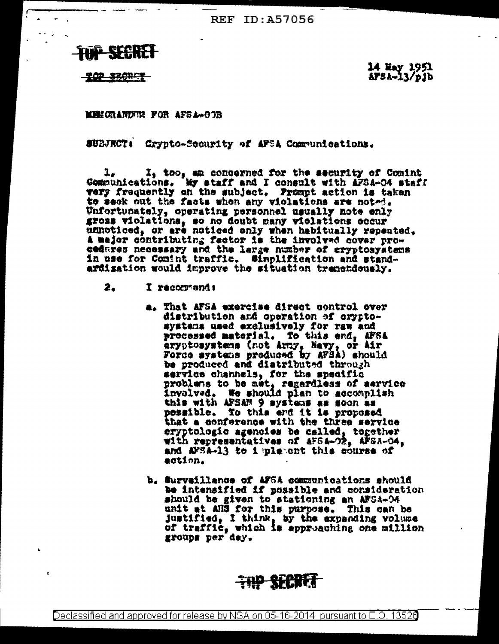**REF ID: A57056** 



<u> TOP SBORGE</u>

r

14 Hay 1951<br>AFSA-13/pjb

**MEMORANDIE FOR AFSA-00B** 

SUBJECT: Crypto-Security of AFSA Communications.

 $1_x$   $1_y$  too, an concerned for the security of Comint Communications. My staff and I consult with AFSA-04 staff very frequently on the subject. Frompt action is taken to seck out the facts when any violations are noted. Unfortunately, operating personnel usually note enly<br>gross violations, so no doubt many violations eccur unnoticed, or are noticed only when habitually repeated. A major contributing factor is the involved cover procedures necessary and the large number of cryptosystems in use for Comint traffic. Simplification and standardisation would improve the situation tremendously.

- 2. I recommend:
	- a. That AFSA exercise direct control over distribution and operation of cryptosystems used exclusively for raw and processed material. To this end, AFSA aryptosystems (not Army, Navy, or Air<br>Force systems produced by AFBA) should be produced and distributed through service channels, for the specific problems to be met, regardless of service involved, We should plan to accomplish this with AFSAM 9 systems as soon as pessible. To this end it is proposed that a conference with the three service eryptologic agencies be called, together with representatives of AFSA-02, AFSA-04, and AFSA-13 to i pletont this course of action.
	- b. Surveillance of AFSA communications should be intensified if possible and consideration should be given to stationing an AFSA-04 unit at ANS for this purpose. This can be justified, I think, by the expanding volume of traffic, which is approaching one million groups per day.



Declassified and approved for release by NSA on 05-16-2014 pursuant to E.O. 13526